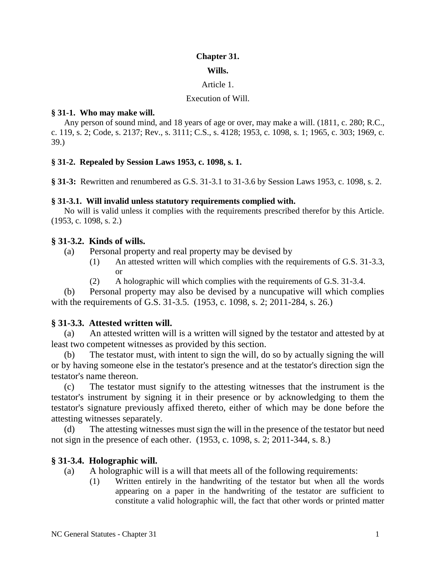## **Chapter 31.**

#### **Wills.**

### Article 1.

### Execution of Will.

### **§ 31-1. Who may make will.**

Any person of sound mind, and 18 years of age or over, may make a will. (1811, c. 280; R.C., c. 119, s. 2; Code, s. 2137; Rev., s. 3111; C.S., s. 4128; 1953, c. 1098, s. 1; 1965, c. 303; 1969, c. 39.)

### **§ 31-2. Repealed by Session Laws 1953, c. 1098, s. 1.**

**§ 31-3:** Rewritten and renumbered as G.S. 31-3.1 to 31-3.6 by Session Laws 1953, c. 1098, s. 2.

### **§ 31-3.1. Will invalid unless statutory requirements complied with.**

No will is valid unless it complies with the requirements prescribed therefor by this Article. (1953, c. 1098, s. 2.)

## **§ 31-3.2. Kinds of wills.**

- (a) Personal property and real property may be devised by
	- (1) An attested written will which complies with the requirements of G.S. 31-3.3, or
	- (2) A holographic will which complies with the requirements of G.S. 31-3.4.

(b) Personal property may also be devised by a nuncupative will which complies with the requirements of G.S. 31-3.5. (1953, c. 1098, s. 2; 2011-284, s. 26.)

## **§ 31-3.3. Attested written will.**

(a) An attested written will is a written will signed by the testator and attested by at least two competent witnesses as provided by this section.

(b) The testator must, with intent to sign the will, do so by actually signing the will or by having someone else in the testator's presence and at the testator's direction sign the testator's name thereon.

(c) The testator must signify to the attesting witnesses that the instrument is the testator's instrument by signing it in their presence or by acknowledging to them the testator's signature previously affixed thereto, either of which may be done before the attesting witnesses separately.

(d) The attesting witnesses must sign the will in the presence of the testator but need not sign in the presence of each other. (1953, c. 1098, s. 2; 2011-344, s. 8.)

# **§ 31-3.4. Holographic will.**

- (a) A holographic will is a will that meets all of the following requirements:
	- (1) Written entirely in the handwriting of the testator but when all the words appearing on a paper in the handwriting of the testator are sufficient to constitute a valid holographic will, the fact that other words or printed matter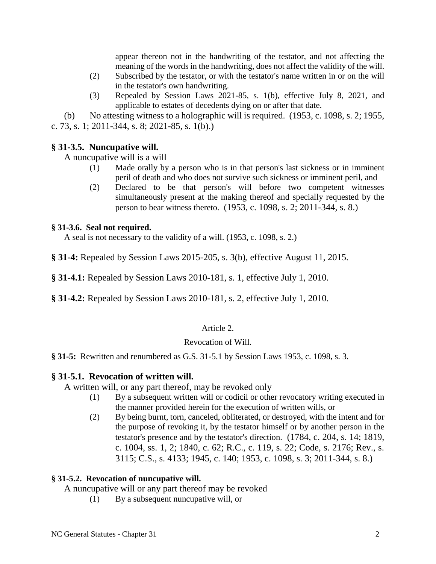appear thereon not in the handwriting of the testator, and not affecting the meaning of the words in the handwriting, does not affect the validity of the will.

- (2) Subscribed by the testator, or with the testator's name written in or on the will in the testator's own handwriting.
- (3) Repealed by Session Laws 2021-85, s. 1(b), effective July 8, 2021, and applicable to estates of decedents dying on or after that date.

(b) No attesting witness to a holographic will is required. (1953, c. 1098, s. 2; 1955,

c. 73, s. 1; 2011-344, s. 8; 2021-85, s. 1(b).)

# **§ 31-3.5. Nuncupative will.**

A nuncupative will is a will

- (1) Made orally by a person who is in that person's last sickness or in imminent peril of death and who does not survive such sickness or imminent peril, and
- (2) Declared to be that person's will before two competent witnesses simultaneously present at the making thereof and specially requested by the person to bear witness thereto. (1953, c. 1098, s. 2; 2011-344, s. 8.)

# **§ 31-3.6. Seal not required.**

A seal is not necessary to the validity of a will. (1953, c. 1098, s. 2.)

**§ 31-4:** Repealed by Session Laws 2015-205, s. 3(b), effective August 11, 2015.

**§ 31-4.1:** Repealed by Session Laws 2010-181, s. 1, effective July 1, 2010.

**§ 31-4.2:** Repealed by Session Laws 2010-181, s. 2, effective July 1, 2010.

# Article 2.

# Revocation of Will.

# **§ 31-5:** Rewritten and renumbered as G.S. 31-5.1 by Session Laws 1953, c. 1098, s. 3.

# **§ 31-5.1. Revocation of written will.**

A written will, or any part thereof, may be revoked only

- (1) By a subsequent written will or codicil or other revocatory writing executed in the manner provided herein for the execution of written wills, or
- (2) By being burnt, torn, canceled, obliterated, or destroyed, with the intent and for the purpose of revoking it, by the testator himself or by another person in the testator's presence and by the testator's direction. (1784, c. 204, s. 14; 1819, c. 1004, ss. 1, 2; 1840, c. 62; R.C., c. 119, s. 22; Code, s. 2176; Rev., s. 3115; C.S., s. 4133; 1945, c. 140; 1953, c. 1098, s. 3; 2011-344, s. 8.)

# **§ 31-5.2. Revocation of nuncupative will.**

A nuncupative will or any part thereof may be revoked

(1) By a subsequent nuncupative will, or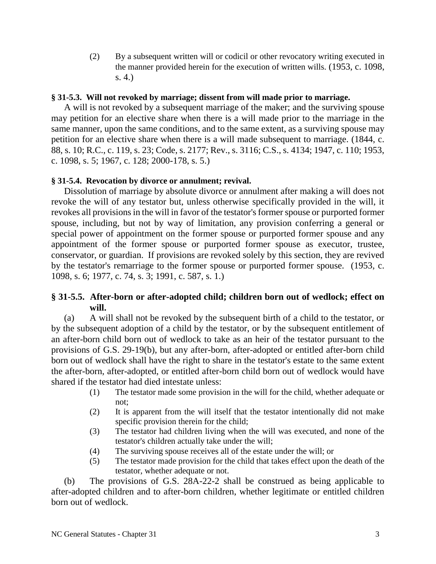(2) By a subsequent written will or codicil or other revocatory writing executed in the manner provided herein for the execution of written wills. (1953, c. 1098, s. 4.)

### **§ 31-5.3. Will not revoked by marriage; dissent from will made prior to marriage.**

A will is not revoked by a subsequent marriage of the maker; and the surviving spouse may petition for an elective share when there is a will made prior to the marriage in the same manner, upon the same conditions, and to the same extent, as a surviving spouse may petition for an elective share when there is a will made subsequent to marriage. (1844, c. 88, s. 10; R.C., c. 119, s. 23; Code, s. 2177; Rev., s. 3116; C.S., s. 4134; 1947, c. 110; 1953, c. 1098, s. 5; 1967, c. 128; 2000-178, s. 5.)

### **§ 31-5.4. Revocation by divorce or annulment; revival.**

Dissolution of marriage by absolute divorce or annulment after making a will does not revoke the will of any testator but, unless otherwise specifically provided in the will, it revokes all provisions in the will in favor of the testator's former spouse or purported former spouse, including, but not by way of limitation, any provision conferring a general or special power of appointment on the former spouse or purported former spouse and any appointment of the former spouse or purported former spouse as executor, trustee, conservator, or guardian. If provisions are revoked solely by this section, they are revived by the testator's remarriage to the former spouse or purported former spouse. (1953, c. 1098, s. 6; 1977, c. 74, s. 3; 1991, c. 587, s. 1.)

## **§ 31-5.5. After-born or after-adopted child; children born out of wedlock; effect on will.**

(a) A will shall not be revoked by the subsequent birth of a child to the testator, or by the subsequent adoption of a child by the testator, or by the subsequent entitlement of an after-born child born out of wedlock to take as an heir of the testator pursuant to the provisions of G.S. 29-19(b), but any after-born, after-adopted or entitled after-born child born out of wedlock shall have the right to share in the testator's estate to the same extent the after-born, after-adopted, or entitled after-born child born out of wedlock would have shared if the testator had died intestate unless:

- (1) The testator made some provision in the will for the child, whether adequate or not;
- (2) It is apparent from the will itself that the testator intentionally did not make specific provision therein for the child;
- (3) The testator had children living when the will was executed, and none of the testator's children actually take under the will;
- (4) The surviving spouse receives all of the estate under the will; or
- (5) The testator made provision for the child that takes effect upon the death of the testator, whether adequate or not.

(b) The provisions of G.S. 28A-22-2 shall be construed as being applicable to after-adopted children and to after-born children, whether legitimate or entitled children born out of wedlock.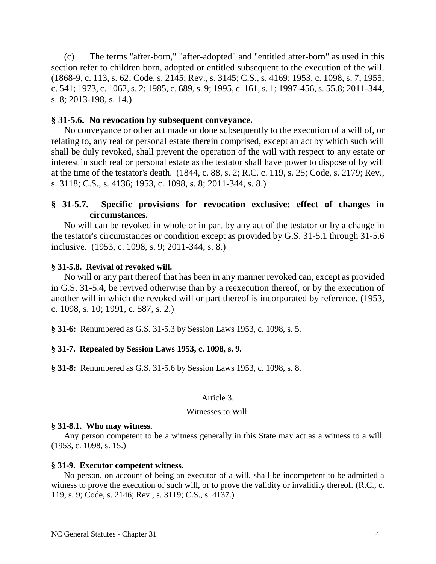(c) The terms "after-born," "after-adopted" and "entitled after-born" as used in this section refer to children born, adopted or entitled subsequent to the execution of the will. (1868-9, c. 113, s. 62; Code, s. 2145; Rev., s. 3145; C.S., s. 4169; 1953, c. 1098, s. 7; 1955, c. 541; 1973, c. 1062, s. 2; 1985, c. 689, s. 9; 1995, c. 161, s. 1; 1997-456, s. 55.8; 2011-344, s. 8; 2013-198, s. 14.)

### **§ 31-5.6. No revocation by subsequent conveyance.**

No conveyance or other act made or done subsequently to the execution of a will of, or relating to, any real or personal estate therein comprised, except an act by which such will shall be duly revoked, shall prevent the operation of the will with respect to any estate or interest in such real or personal estate as the testator shall have power to dispose of by will at the time of the testator's death. (1844, c. 88, s. 2; R.C. c. 119, s. 25; Code, s. 2179; Rev., s. 3118; C.S., s. 4136; 1953, c. 1098, s. 8; 2011-344, s. 8.)

## **§ 31-5.7. Specific provisions for revocation exclusive; effect of changes in circumstances.**

No will can be revoked in whole or in part by any act of the testator or by a change in the testator's circumstances or condition except as provided by G.S. 31-5.1 through 31-5.6 inclusive. (1953, c. 1098, s. 9; 2011-344, s. 8.)

### **§ 31-5.8. Revival of revoked will.**

No will or any part thereof that has been in any manner revoked can, except as provided in G.S. 31-5.4, be revived otherwise than by a reexecution thereof, or by the execution of another will in which the revoked will or part thereof is incorporated by reference. (1953, c. 1098, s. 10; 1991, c. 587, s. 2.)

**§ 31-6:** Renumbered as G.S. 31-5.3 by Session Laws 1953, c. 1098, s. 5.

### **§ 31-7. Repealed by Session Laws 1953, c. 1098, s. 9.**

**§ 31-8:** Renumbered as G.S. 31-5.6 by Session Laws 1953, c. 1098, s. 8.

#### Article 3.

#### Witnesses to Will.

#### **§ 31-8.1. Who may witness.**

Any person competent to be a witness generally in this State may act as a witness to a will. (1953, c. 1098, s. 15.)

#### **§ 31-9. Executor competent witness.**

No person, on account of being an executor of a will, shall be incompetent to be admitted a witness to prove the execution of such will, or to prove the validity or invalidity thereof. (R.C., c. 119, s. 9; Code, s. 2146; Rev., s. 3119; C.S., s. 4137.)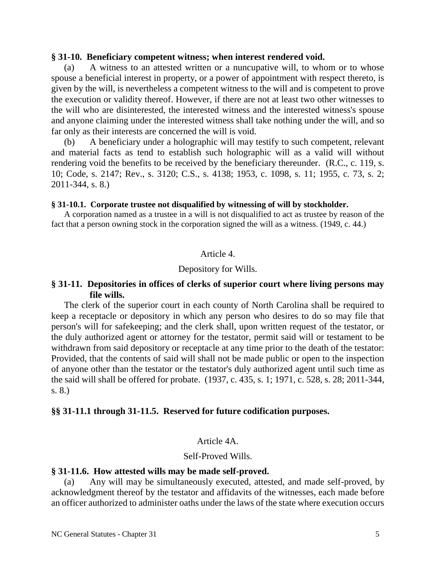### **§ 31-10. Beneficiary competent witness; when interest rendered void.**

(a) A witness to an attested written or a nuncupative will, to whom or to whose spouse a beneficial interest in property, or a power of appointment with respect thereto, is given by the will, is nevertheless a competent witness to the will and is competent to prove the execution or validity thereof. However, if there are not at least two other witnesses to the will who are disinterested, the interested witness and the interested witness's spouse and anyone claiming under the interested witness shall take nothing under the will, and so far only as their interests are concerned the will is void.

(b) A beneficiary under a holographic will may testify to such competent, relevant and material facts as tend to establish such holographic will as a valid will without rendering void the benefits to be received by the beneficiary thereunder. (R.C., c. 119, s. 10; Code, s. 2147; Rev., s. 3120; C.S., s. 4138; 1953, c. 1098, s. 11; 1955, c. 73, s. 2; 2011-344, s. 8.)

#### **§ 31-10.1. Corporate trustee not disqualified by witnessing of will by stockholder.**

A corporation named as a trustee in a will is not disqualified to act as trustee by reason of the fact that a person owning stock in the corporation signed the will as a witness. (1949, c. 44.)

### Article 4.

#### Depository for Wills.

## **§ 31-11. Depositories in offices of clerks of superior court where living persons may file wills.**

The clerk of the superior court in each county of North Carolina shall be required to keep a receptacle or depository in which any person who desires to do so may file that person's will for safekeeping; and the clerk shall, upon written request of the testator, or the duly authorized agent or attorney for the testator, permit said will or testament to be withdrawn from said depository or receptacle at any time prior to the death of the testator: Provided, that the contents of said will shall not be made public or open to the inspection of anyone other than the testator or the testator's duly authorized agent until such time as the said will shall be offered for probate. (1937, c. 435, s. 1; 1971, c. 528, s. 28; 2011-344, s. 8.)

### **§§ 31-11.1 through 31-11.5. Reserved for future codification purposes.**

### Article 4A.

#### Self-Proved Wills.

#### **§ 31-11.6. How attested wills may be made self-proved.**

(a) Any will may be simultaneously executed, attested, and made self-proved, by acknowledgment thereof by the testator and affidavits of the witnesses, each made before an officer authorized to administer oaths under the laws of the state where execution occurs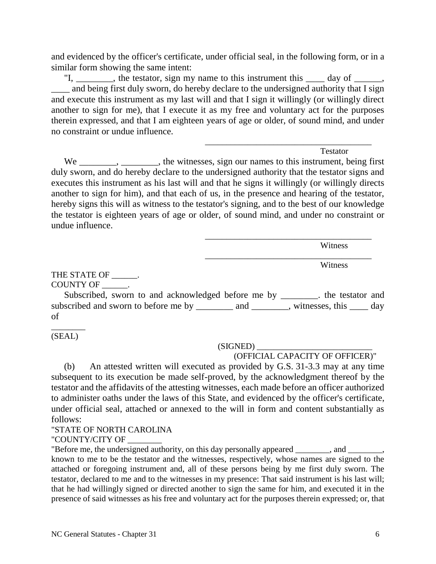and evidenced by the officer's certificate, under official seal, in the following form, or in a similar form showing the same intent:

"I, \_\_\_\_\_\_\_, the testator, sign my name to this instrument this \_\_\_\_ day of \_\_\_\_\_, \_\_\_\_ and being first duly sworn, do hereby declare to the undersigned authority that I sign and execute this instrument as my last will and that I sign it willingly (or willingly direct another to sign for me), that I execute it as my free and voluntary act for the purposes therein expressed, and that I am eighteen years of age or older, of sound mind, and under no constraint or undue influence.

Testator

\_\_\_\_\_\_\_\_\_\_\_\_\_\_\_\_\_\_\_\_\_\_\_\_\_\_\_\_\_\_\_\_\_\_\_\_\_\_\_

\_\_\_\_\_\_\_\_\_\_\_\_\_\_\_\_\_\_\_\_\_\_\_\_\_\_\_\_\_\_\_\_\_\_\_\_\_\_\_

\_\_\_\_\_\_\_\_\_\_\_\_\_\_\_\_\_\_\_\_\_\_\_\_\_\_\_\_\_\_\_\_\_\_\_\_\_\_\_

We \_\_\_\_\_\_\_, \_\_\_\_\_\_, the witnesses, sign our names to this instrument, being first duly sworn, and do hereby declare to the undersigned authority that the testator signs and executes this instrument as his last will and that he signs it willingly (or willingly directs another to sign for him), and that each of us, in the presence and hearing of the testator, hereby signs this will as witness to the testator's signing, and to the best of our knowledge the testator is eighteen years of age or older, of sound mind, and under no constraint or undue influence.

Witness

Witness

THE STATE OF  $\qquad$ . COUNTY OF \_\_\_\_\_\_\_.

Subscribed, sworn to and acknowledged before me by \_\_\_\_\_\_\_\_. the testator and subscribed and sworn to before me by \_\_\_\_\_\_\_\_ and \_\_\_\_\_\_\_, witnesses, this \_\_\_\_ day of

\_\_\_\_\_\_\_\_ (SEAL)

 $(SIGNED)$ 

(OFFICIAL CAPACITY OF OFFICER)"

(b) An attested written will executed as provided by G.S. 31-3.3 may at any time subsequent to its execution be made self-proved, by the acknowledgment thereof by the testator and the affidavits of the attesting witnesses, each made before an officer authorized to administer oaths under the laws of this State, and evidenced by the officer's certificate, under official seal, attached or annexed to the will in form and content substantially as follows:

### "STATE OF NORTH CAROLINA

"COUNTY/CITY OF

"Before me, the undersigned authority, on this day personally appeared \_\_\_\_\_\_\_\_, and \_\_\_\_\_\_\_\_, known to me to be the testator and the witnesses, respectively, whose names are signed to the attached or foregoing instrument and, all of these persons being by me first duly sworn. The testator, declared to me and to the witnesses in my presence: That said instrument is his last will; that he had willingly signed or directed another to sign the same for him, and executed it in the presence of said witnesses as his free and voluntary act for the purposes therein expressed; or, that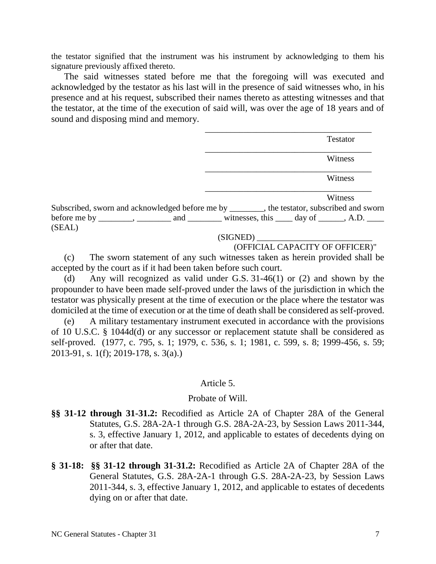the testator signified that the instrument was his instrument by acknowledging to them his signature previously affixed thereto.

The said witnesses stated before me that the foregoing will was executed and acknowledged by the testator as his last will in the presence of said witnesses who, in his presence and at his request, subscribed their names thereto as attesting witnesses and that the testator, at the time of the execution of said will, was over the age of 18 years and of sound and disposing mind and memory.

|        | Testator                                                                                                                                                                                    |
|--------|---------------------------------------------------------------------------------------------------------------------------------------------------------------------------------------------|
|        | Witness                                                                                                                                                                                     |
|        | Witness                                                                                                                                                                                     |
|        | Witness                                                                                                                                                                                     |
|        | Subscribed, sworn and acknowledged before me by _______, the testator, subscribed and sworn<br>before me by ________, ________ and _________ witnesses, this _____ day of ______, A.D. ____ |
| (SEAL) |                                                                                                                                                                                             |
|        | (SIGNED)                                                                                                                                                                                    |

### (SIGNED) \_\_\_\_\_\_\_\_\_\_\_\_\_\_\_\_\_\_\_\_\_\_\_\_\_\_\_

## (OFFICIAL CAPACITY OF OFFICER)"

(c) The sworn statement of any such witnesses taken as herein provided shall be accepted by the court as if it had been taken before such court.

(d) Any will recognized as valid under G.S. 31-46(1) or (2) and shown by the propounder to have been made self-proved under the laws of the jurisdiction in which the testator was physically present at the time of execution or the place where the testator was domiciled at the time of execution or at the time of death shall be considered as self-proved.

(e) A military testamentary instrument executed in accordance with the provisions of 10 U.S.C. § 1044d(d) or any successor or replacement statute shall be considered as self-proved. (1977, c. 795, s. 1; 1979, c. 536, s. 1; 1981, c. 599, s. 8; 1999-456, s. 59; 2013-91, s. 1(f); 2019-178, s. 3(a).)

### Article 5.

### Probate of Will.

- **§§ 31-12 through 31-31.2:** Recodified as Article 2A of Chapter 28A of the General Statutes, G.S. 28A-2A-1 through G.S. 28A-2A-23, by Session Laws 2011-344, s. 3, effective January 1, 2012, and applicable to estates of decedents dying on or after that date.
- **§ 31-18: §§ 31-12 through 31-31.2:** Recodified as Article 2A of Chapter 28A of the General Statutes, G.S. 28A-2A-1 through G.S. 28A-2A-23, by Session Laws 2011-344, s. 3, effective January 1, 2012, and applicable to estates of decedents dying on or after that date.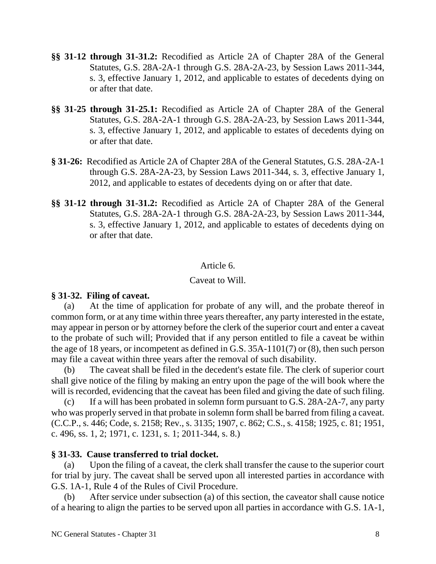- **§§ 31-12 through 31-31.2:** Recodified as Article 2A of Chapter 28A of the General Statutes, G.S. 28A-2A-1 through G.S. 28A-2A-23, by Session Laws 2011-344, s. 3, effective January 1, 2012, and applicable to estates of decedents dying on or after that date.
- **§§ 31-25 through 31-25.1:** Recodified as Article 2A of Chapter 28A of the General Statutes, G.S. 28A-2A-1 through G.S. 28A-2A-23, by Session Laws 2011-344, s. 3, effective January 1, 2012, and applicable to estates of decedents dying on or after that date.
- **§ 31-26:** Recodified as Article 2A of Chapter 28A of the General Statutes, G.S. 28A-2A-1 through G.S. 28A-2A-23, by Session Laws 2011-344, s. 3, effective January 1, 2012, and applicable to estates of decedents dying on or after that date.
- **§§ 31-12 through 31-31.2:** Recodified as Article 2A of Chapter 28A of the General Statutes, G.S. 28A-2A-1 through G.S. 28A-2A-23, by Session Laws 2011-344, s. 3, effective January 1, 2012, and applicable to estates of decedents dying on or after that date.

# Article 6.

# Caveat to Will.

# **§ 31-32. Filing of caveat.**

(a) At the time of application for probate of any will, and the probate thereof in common form, or at any time within three years thereafter, any party interested in the estate, may appear in person or by attorney before the clerk of the superior court and enter a caveat to the probate of such will; Provided that if any person entitled to file a caveat be within the age of 18 years, or incompetent as defined in G.S. 35A-1101(7) or (8), then such person may file a caveat within three years after the removal of such disability.

(b) The caveat shall be filed in the decedent's estate file. The clerk of superior court shall give notice of the filing by making an entry upon the page of the will book where the will is recorded, evidencing that the caveat has been filed and giving the date of such filing.

(c) If a will has been probated in solemn form pursuant to G.S. 28A-2A-7, any party who was properly served in that probate in solemn form shall be barred from filing a caveat. (C.C.P., s. 446; Code, s. 2158; Rev., s. 3135; 1907, c. 862; C.S., s. 4158; 1925, c. 81; 1951, c. 496, ss. 1, 2; 1971, c. 1231, s. 1; 2011-344, s. 8.)

# **§ 31-33. Cause transferred to trial docket.**

(a) Upon the filing of a caveat, the clerk shall transfer the cause to the superior court for trial by jury. The caveat shall be served upon all interested parties in accordance with G.S. 1A-1, Rule 4 of the Rules of Civil Procedure.

(b) After service under subsection (a) of this section, the caveator shall cause notice of a hearing to align the parties to be served upon all parties in accordance with G.S. 1A-1,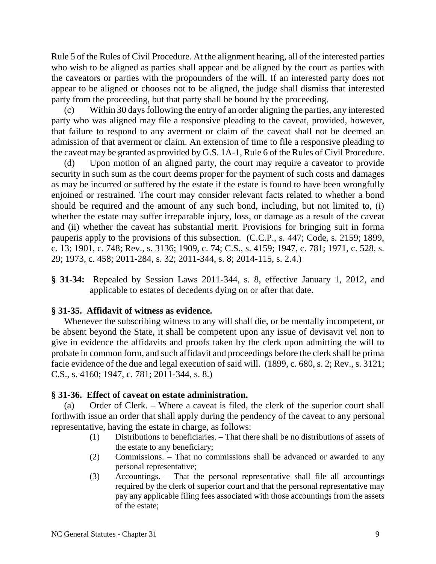Rule 5 of the Rules of Civil Procedure. At the alignment hearing, all of the interested parties who wish to be aligned as parties shall appear and be aligned by the court as parties with the caveators or parties with the propounders of the will. If an interested party does not appear to be aligned or chooses not to be aligned, the judge shall dismiss that interested party from the proceeding, but that party shall be bound by the proceeding.

(c) Within 30 days following the entry of an order aligning the parties, any interested party who was aligned may file a responsive pleading to the caveat, provided, however, that failure to respond to any averment or claim of the caveat shall not be deemed an admission of that averment or claim. An extension of time to file a responsive pleading to the caveat may be granted as provided by G.S. 1A-1, Rule 6 of the Rules of Civil Procedure.

(d) Upon motion of an aligned party, the court may require a caveator to provide security in such sum as the court deems proper for the payment of such costs and damages as may be incurred or suffered by the estate if the estate is found to have been wrongfully enjoined or restrained. The court may consider relevant facts related to whether a bond should be required and the amount of any such bond, including, but not limited to, (i) whether the estate may suffer irreparable injury, loss, or damage as a result of the caveat and (ii) whether the caveat has substantial merit. Provisions for bringing suit in forma pauperis apply to the provisions of this subsection. (C.C.P., s. 447; Code, s. 2159; 1899, c. 13; 1901, c. 748; Rev., s. 3136; 1909, c. 74; C.S., s. 4159; 1947, c. 781; 1971, c. 528, s. 29; 1973, c. 458; 2011-284, s. 32; 2011-344, s. 8; 2014-115, s. 2.4.)

**§ 31-34:** Repealed by Session Laws 2011-344, s. 8, effective January 1, 2012, and applicable to estates of decedents dying on or after that date.

## **§ 31-35. Affidavit of witness as evidence.**

Whenever the subscribing witness to any will shall die, or be mentally incompetent, or be absent beyond the State, it shall be competent upon any issue of devisavit vel non to give in evidence the affidavits and proofs taken by the clerk upon admitting the will to probate in common form, and such affidavit and proceedings before the clerk shall be prima facie evidence of the due and legal execution of said will. (1899, c. 680, s. 2; Rev., s. 3121; C.S., s. 4160; 1947, c. 781; 2011-344, s. 8.)

## **§ 31-36. Effect of caveat on estate administration.**

(a) Order of Clerk. – Where a caveat is filed, the clerk of the superior court shall forthwith issue an order that shall apply during the pendency of the caveat to any personal representative, having the estate in charge, as follows:

- (1) Distributions to beneficiaries. That there shall be no distributions of assets of the estate to any beneficiary;
- (2) Commissions. That no commissions shall be advanced or awarded to any personal representative;
- (3) Accountings. That the personal representative shall file all accountings required by the clerk of superior court and that the personal representative may pay any applicable filing fees associated with those accountings from the assets of the estate;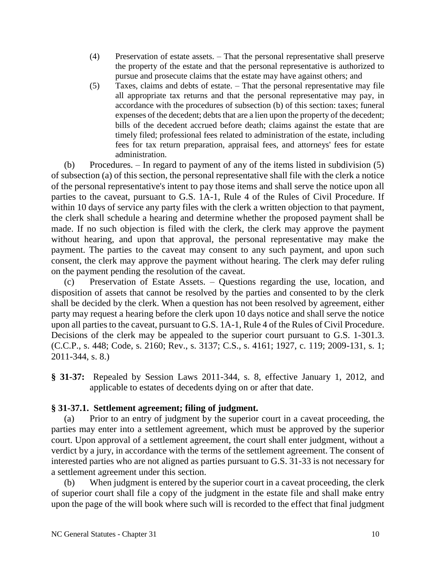- (4) Preservation of estate assets. That the personal representative shall preserve the property of the estate and that the personal representative is authorized to pursue and prosecute claims that the estate may have against others; and
- (5) Taxes, claims and debts of estate. That the personal representative may file all appropriate tax returns and that the personal representative may pay, in accordance with the procedures of subsection (b) of this section: taxes; funeral expenses of the decedent; debts that are a lien upon the property of the decedent; bills of the decedent accrued before death; claims against the estate that are timely filed; professional fees related to administration of the estate, including fees for tax return preparation, appraisal fees, and attorneys' fees for estate administration.

(b) Procedures. – In regard to payment of any of the items listed in subdivision (5) of subsection (a) of this section, the personal representative shall file with the clerk a notice of the personal representative's intent to pay those items and shall serve the notice upon all parties to the caveat, pursuant to G.S. 1A-1, Rule 4 of the Rules of Civil Procedure. If within 10 days of service any party files with the clerk a written objection to that payment, the clerk shall schedule a hearing and determine whether the proposed payment shall be made. If no such objection is filed with the clerk, the clerk may approve the payment without hearing, and upon that approval, the personal representative may make the payment. The parties to the caveat may consent to any such payment, and upon such consent, the clerk may approve the payment without hearing. The clerk may defer ruling on the payment pending the resolution of the caveat.

(c) Preservation of Estate Assets. – Questions regarding the use, location, and disposition of assets that cannot be resolved by the parties and consented to by the clerk shall be decided by the clerk. When a question has not been resolved by agreement, either party may request a hearing before the clerk upon 10 days notice and shall serve the notice upon all parties to the caveat, pursuant to G.S. 1A-1, Rule 4 of the Rules of Civil Procedure. Decisions of the clerk may be appealed to the superior court pursuant to G.S. 1-301.3. (C.C.P., s. 448; Code, s. 2160; Rev., s. 3137; C.S., s. 4161; 1927, c. 119; 2009-131, s. 1; 2011-344, s. 8.)

**§ 31-37:** Repealed by Session Laws 2011-344, s. 8, effective January 1, 2012, and applicable to estates of decedents dying on or after that date.

# **§ 31-37.1. Settlement agreement; filing of judgment.**

(a) Prior to an entry of judgment by the superior court in a caveat proceeding, the parties may enter into a settlement agreement, which must be approved by the superior court. Upon approval of a settlement agreement, the court shall enter judgment, without a verdict by a jury, in accordance with the terms of the settlement agreement. The consent of interested parties who are not aligned as parties pursuant to G.S. 31-33 is not necessary for a settlement agreement under this section.

(b) When judgment is entered by the superior court in a caveat proceeding, the clerk of superior court shall file a copy of the judgment in the estate file and shall make entry upon the page of the will book where such will is recorded to the effect that final judgment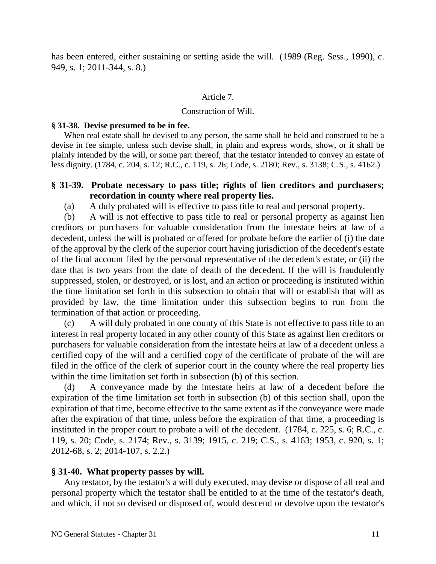has been entered, either sustaining or setting aside the will. (1989 (Reg. Sess., 1990), c. 949, s. 1; 2011-344, s. 8.)

### Article 7.

### Construction of Will.

### **§ 31-38. Devise presumed to be in fee.**

When real estate shall be devised to any person, the same shall be held and construed to be a devise in fee simple, unless such devise shall, in plain and express words, show, or it shall be plainly intended by the will, or some part thereof, that the testator intended to convey an estate of less dignity. (1784, c. 204, s. 12; R.C., c. 119, s. 26; Code, s. 2180; Rev., s. 3138; C.S., s. 4162.)

## **§ 31-39. Probate necessary to pass title; rights of lien creditors and purchasers; recordation in county where real property lies.**

(a) A duly probated will is effective to pass title to real and personal property.

(b) A will is not effective to pass title to real or personal property as against lien creditors or purchasers for valuable consideration from the intestate heirs at law of a decedent, unless the will is probated or offered for probate before the earlier of (i) the date of the approval by the clerk of the superior court having jurisdiction of the decedent's estate of the final account filed by the personal representative of the decedent's estate, or (ii) the date that is two years from the date of death of the decedent. If the will is fraudulently suppressed, stolen, or destroyed, or is lost, and an action or proceeding is instituted within the time limitation set forth in this subsection to obtain that will or establish that will as provided by law, the time limitation under this subsection begins to run from the termination of that action or proceeding.

(c) A will duly probated in one county of this State is not effective to pass title to an interest in real property located in any other county of this State as against lien creditors or purchasers for valuable consideration from the intestate heirs at law of a decedent unless a certified copy of the will and a certified copy of the certificate of probate of the will are filed in the office of the clerk of superior court in the county where the real property lies within the time limitation set forth in subsection (b) of this section.

A conveyance made by the intestate heirs at law of a decedent before the expiration of the time limitation set forth in subsection (b) of this section shall, upon the expiration of that time, become effective to the same extent as if the conveyance were made after the expiration of that time, unless before the expiration of that time, a proceeding is instituted in the proper court to probate a will of the decedent. (1784, c. 225, s. 6; R.C., c. 119, s. 20; Code, s. 2174; Rev., s. 3139; 1915, c. 219; C.S., s. 4163; 1953, c. 920, s. 1; 2012-68, s. 2; 2014-107, s. 2.2.)

## **§ 31-40. What property passes by will.**

Any testator, by the testator's a will duly executed, may devise or dispose of all real and personal property which the testator shall be entitled to at the time of the testator's death, and which, if not so devised or disposed of, would descend or devolve upon the testator's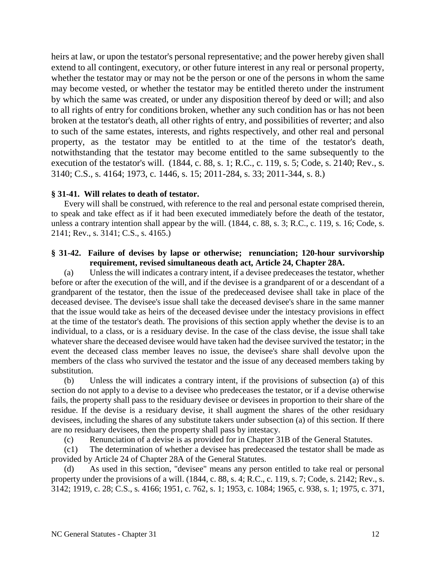heirs at law, or upon the testator's personal representative; and the power hereby given shall extend to all contingent, executory, or other future interest in any real or personal property, whether the testator may or may not be the person or one of the persons in whom the same may become vested, or whether the testator may be entitled thereto under the instrument by which the same was created, or under any disposition thereof by deed or will; and also to all rights of entry for conditions broken, whether any such condition has or has not been broken at the testator's death, all other rights of entry, and possibilities of reverter; and also to such of the same estates, interests, and rights respectively, and other real and personal property, as the testator may be entitled to at the time of the testator's death, notwithstanding that the testator may become entitled to the same subsequently to the execution of the testator's will. (1844, c. 88, s. 1; R.C., c. 119, s. 5; Code, s. 2140; Rev., s. 3140; C.S., s. 4164; 1973, c. 1446, s. 15; 2011-284, s. 33; 2011-344, s. 8.)

### **§ 31-41. Will relates to death of testator.**

Every will shall be construed, with reference to the real and personal estate comprised therein, to speak and take effect as if it had been executed immediately before the death of the testator, unless a contrary intention shall appear by the will. (1844, c. 88, s. 3; R.C., c. 119, s. 16; Code, s. 2141; Rev., s. 3141; C.S., s. 4165.)

### **§ 31-42. Failure of devises by lapse or otherwise; renunciation; 120-hour survivorship requirement, revised simultaneous death act, Article 24, Chapter 28A.**

(a) Unless the will indicates a contrary intent, if a devisee predeceases the testator, whether before or after the execution of the will, and if the devisee is a grandparent of or a descendant of a grandparent of the testator, then the issue of the predeceased devisee shall take in place of the deceased devisee. The devisee's issue shall take the deceased devisee's share in the same manner that the issue would take as heirs of the deceased devisee under the intestacy provisions in effect at the time of the testator's death. The provisions of this section apply whether the devise is to an individual, to a class, or is a residuary devise. In the case of the class devise, the issue shall take whatever share the deceased devisee would have taken had the devisee survived the testator; in the event the deceased class member leaves no issue, the devisee's share shall devolve upon the members of the class who survived the testator and the issue of any deceased members taking by substitution.

(b) Unless the will indicates a contrary intent, if the provisions of subsection (a) of this section do not apply to a devise to a devisee who predeceases the testator, or if a devise otherwise fails, the property shall pass to the residuary devisee or devisees in proportion to their share of the residue. If the devise is a residuary devise, it shall augment the shares of the other residuary devisees, including the shares of any substitute takers under subsection (a) of this section. If there are no residuary devisees, then the property shall pass by intestacy.

(c) Renunciation of a devise is as provided for in Chapter 31B of the General Statutes.

(c1) The determination of whether a devisee has predeceased the testator shall be made as provided by Article 24 of Chapter 28A of the General Statutes.

(d) As used in this section, "devisee" means any person entitled to take real or personal property under the provisions of a will. (1844, c. 88, s. 4; R.C., c. 119, s. 7; Code, s. 2142; Rev., s. 3142; 1919, c. 28; C.S., s. 4166; 1951, c. 762, s. 1; 1953, c. 1084; 1965, c. 938, s. 1; 1975, c. 371,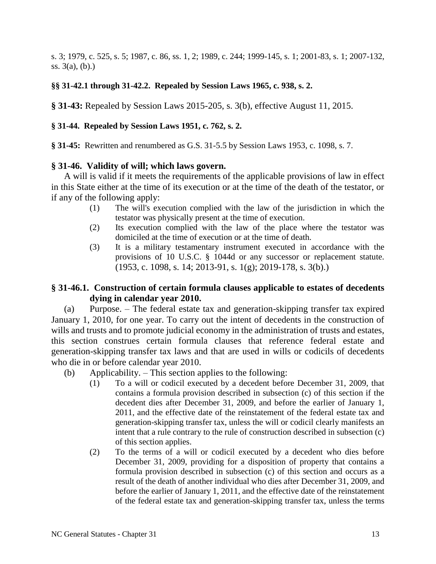s. 3; 1979, c. 525, s. 5; 1987, c. 86, ss. 1, 2; 1989, c. 244; 1999-145, s. 1; 2001-83, s. 1; 2007-132, ss. 3(a), (b).)

## **§§ 31-42.1 through 31-42.2. Repealed by Session Laws 1965, c. 938, s. 2.**

**§ 31-43:** Repealed by Session Laws 2015-205, s. 3(b), effective August 11, 2015.

## **§ 31-44. Repealed by Session Laws 1951, c. 762, s. 2.**

**§ 31-45:** Rewritten and renumbered as G.S. 31-5.5 by Session Laws 1953, c. 1098, s. 7.

## **§ 31-46. Validity of will; which laws govern.**

A will is valid if it meets the requirements of the applicable provisions of law in effect in this State either at the time of its execution or at the time of the death of the testator, or if any of the following apply:

- (1) The will's execution complied with the law of the jurisdiction in which the testator was physically present at the time of execution.
- (2) Its execution complied with the law of the place where the testator was domiciled at the time of execution or at the time of death.
- (3) It is a military testamentary instrument executed in accordance with the provisions of 10 U.S.C. § 1044d or any successor or replacement statute. (1953, c. 1098, s. 14; 2013-91, s. 1(g); 2019-178, s. 3(b).)

# **§ 31-46.1. Construction of certain formula clauses applicable to estates of decedents dying in calendar year 2010.**

(a) Purpose. – The federal estate tax and generation-skipping transfer tax expired January 1, 2010, for one year. To carry out the intent of decedents in the construction of wills and trusts and to promote judicial economy in the administration of trusts and estates, this section construes certain formula clauses that reference federal estate and generation-skipping transfer tax laws and that are used in wills or codicils of decedents who die in or before calendar year 2010.

- (b) Applicability. This section applies to the following:
	- (1) To a will or codicil executed by a decedent before December 31, 2009, that contains a formula provision described in subsection (c) of this section if the decedent dies after December 31, 2009, and before the earlier of January 1, 2011, and the effective date of the reinstatement of the federal estate tax and generation-skipping transfer tax, unless the will or codicil clearly manifests an intent that a rule contrary to the rule of construction described in subsection (c) of this section applies.
	- (2) To the terms of a will or codicil executed by a decedent who dies before December 31, 2009, providing for a disposition of property that contains a formula provision described in subsection (c) of this section and occurs as a result of the death of another individual who dies after December 31, 2009, and before the earlier of January 1, 2011, and the effective date of the reinstatement of the federal estate tax and generation-skipping transfer tax, unless the terms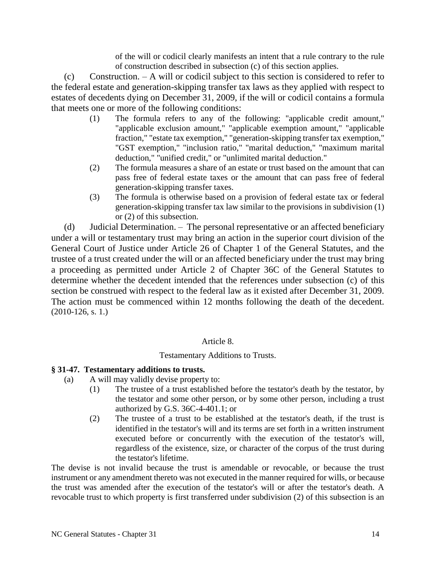of the will or codicil clearly manifests an intent that a rule contrary to the rule of construction described in subsection (c) of this section applies.

(c) Construction. – A will or codicil subject to this section is considered to refer to the federal estate and generation-skipping transfer tax laws as they applied with respect to estates of decedents dying on December 31, 2009, if the will or codicil contains a formula that meets one or more of the following conditions:

- (1) The formula refers to any of the following: "applicable credit amount," "applicable exclusion amount," "applicable exemption amount," "applicable fraction," "estate tax exemption," "generation-skipping transfer tax exemption," "GST exemption," "inclusion ratio," "marital deduction," "maximum marital deduction," "unified credit," or "unlimited marital deduction."
- (2) The formula measures a share of an estate or trust based on the amount that can pass free of federal estate taxes or the amount that can pass free of federal generation-skipping transfer taxes.
- (3) The formula is otherwise based on a provision of federal estate tax or federal generation-skipping transfer tax law similar to the provisions in subdivision (1) or (2) of this subsection.

(d) Judicial Determination. – The personal representative or an affected beneficiary under a will or testamentary trust may bring an action in the superior court division of the General Court of Justice under Article 26 of Chapter 1 of the General Statutes, and the trustee of a trust created under the will or an affected beneficiary under the trust may bring a proceeding as permitted under Article 2 of Chapter 36C of the General Statutes to determine whether the decedent intended that the references under subsection (c) of this section be construed with respect to the federal law as it existed after December 31, 2009. The action must be commenced within 12 months following the death of the decedent.  $(2010-126, s. 1.)$ 

## Article 8.

## Testamentary Additions to Trusts.

## **§ 31-47. Testamentary additions to trusts.**

- (a) A will may validly devise property to:
	- (1) The trustee of a trust established before the testator's death by the testator, by the testator and some other person, or by some other person, including a trust authorized by G.S. 36C-4-401.1; or
	- (2) The trustee of a trust to be established at the testator's death, if the trust is identified in the testator's will and its terms are set forth in a written instrument executed before or concurrently with the execution of the testator's will, regardless of the existence, size, or character of the corpus of the trust during the testator's lifetime.

The devise is not invalid because the trust is amendable or revocable, or because the trust instrument or any amendment thereto was not executed in the manner required for wills, or because the trust was amended after the execution of the testator's will or after the testator's death. A revocable trust to which property is first transferred under subdivision (2) of this subsection is an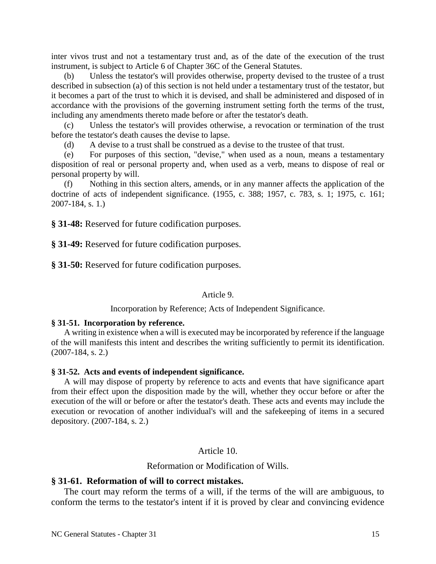inter vivos trust and not a testamentary trust and, as of the date of the execution of the trust instrument, is subject to Article 6 of Chapter 36C of the General Statutes.

(b) Unless the testator's will provides otherwise, property devised to the trustee of a trust described in subsection (a) of this section is not held under a testamentary trust of the testator, but it becomes a part of the trust to which it is devised, and shall be administered and disposed of in accordance with the provisions of the governing instrument setting forth the terms of the trust, including any amendments thereto made before or after the testator's death.

(c) Unless the testator's will provides otherwise, a revocation or termination of the trust before the testator's death causes the devise to lapse.

(d) A devise to a trust shall be construed as a devise to the trustee of that trust.

(e) For purposes of this section, "devise," when used as a noun, means a testamentary disposition of real or personal property and, when used as a verb, means to dispose of real or personal property by will.

(f) Nothing in this section alters, amends, or in any manner affects the application of the doctrine of acts of independent significance. (1955, c. 388; 1957, c. 783, s. 1; 1975, c. 161; 2007-184, s. 1.)

**§ 31-48:** Reserved for future codification purposes.

**§ 31-49:** Reserved for future codification purposes.

**§ 31-50:** Reserved for future codification purposes.

Article 9.

Incorporation by Reference; Acts of Independent Significance.

#### **§ 31-51. Incorporation by reference.**

A writing in existence when a will is executed may be incorporated by reference if the language of the will manifests this intent and describes the writing sufficiently to permit its identification. (2007-184, s. 2.)

#### **§ 31-52. Acts and events of independent significance.**

A will may dispose of property by reference to acts and events that have significance apart from their effect upon the disposition made by the will, whether they occur before or after the execution of the will or before or after the testator's death. These acts and events may include the execution or revocation of another individual's will and the safekeeping of items in a secured depository. (2007-184, s. 2.)

Article 10.

Reformation or Modification of Wills.

### **§ 31-61. Reformation of will to correct mistakes.**

The court may reform the terms of a will, if the terms of the will are ambiguous, to conform the terms to the testator's intent if it is proved by clear and convincing evidence